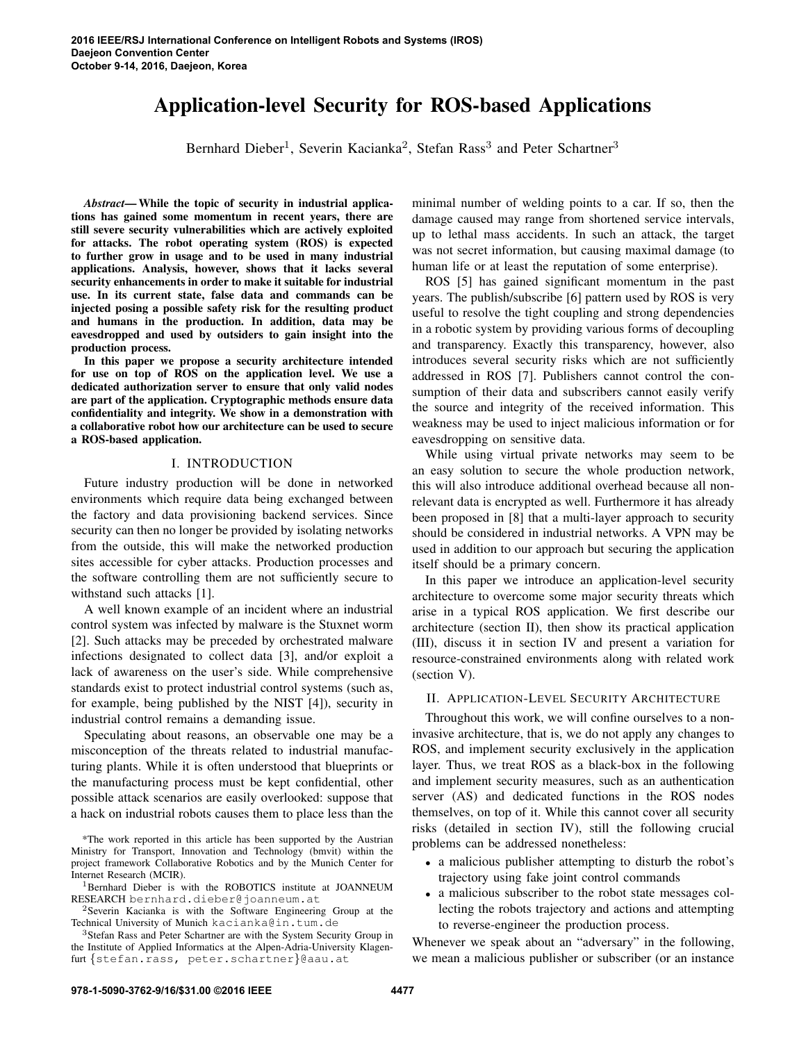# Application-level Security for ROS-based Applications

Bernhard Dieber<sup>1</sup>, Severin Kacianka<sup>2</sup>, Stefan Rass<sup>3</sup> and Peter Schartner<sup>3</sup>

*Abstract*— While the topic of security in industrial applications has gained some momentum in recent years, there are still severe security vulnerabilities which are actively exploited for attacks. The robot operating system (ROS) is expected to further grow in usage and to be used in many industrial applications. Analysis, however, shows that it lacks several security enhancements in order to make it suitable for industrial use. In its current state, false data and commands can be injected posing a possible safety risk for the resulting product and humans in the production. In addition, data may be eavesdropped and used by outsiders to gain insight into the production process.

In this paper we propose a security architecture intended for use on top of ROS on the application level. We use a dedicated authorization server to ensure that only valid nodes are part of the application. Cryptographic methods ensure data confidentiality and integrity. We show in a demonstration with a collaborative robot how our architecture can be used to secure a ROS-based application.

## I. INTRODUCTION

Future industry production will be done in networked environments which require data being exchanged between the factory and data provisioning backend services. Since security can then no longer be provided by isolating networks from the outside, this will make the networked production sites accessible for cyber attacks. Production processes and the software controlling them are not sufficiently secure to withstand such attacks [1].

A well known example of an incident where an industrial control system was infected by malware is the Stuxnet worm [2]. Such attacks may be preceded by orchestrated malware infections designated to collect data [3], and/or exploit a lack of awareness on the user's side. While comprehensive standards exist to protect industrial control systems (such as, for example, being published by the NIST [4]), security in industrial control remains a demanding issue.

Speculating about reasons, an observable one may be a misconception of the threats related to industrial manufacturing plants. While it is often understood that blueprints or the manufacturing process must be kept confidential, other possible attack scenarios are easily overlooked: suppose that a hack on industrial robots causes them to place less than the

\*The work reported in this article has been supported by the Austrian Ministry for Transport, Innovation and Technology (bmvit) within the project framework Collaborative Robotics and by the Munich Center for Internet Research (MCIR).

<sup>1</sup>Bernhard Dieber is with the ROBOTICS institute at JOANNEUM RESEARCH bernhard.dieber@joanneum.at

<sup>2</sup>Severin Kacianka is with the Software Engineering Group at the Technical University of Munich kacianka@in.tum.de

<sup>3</sup>Stefan Rass and Peter Schartner are with the System Security Group in the Institute of Applied Informatics at the Alpen-Adria-University Klagenfurt {stefan.rass, peter.schartner}@aau.at

minimal number of welding points to a car. If so, then the damage caused may range from shortened service intervals, up to lethal mass accidents. In such an attack, the target was not secret information, but causing maximal damage (to human life or at least the reputation of some enterprise).

ROS [5] has gained significant momentum in the past years. The publish/subscribe [6] pattern used by ROS is very useful to resolve the tight coupling and strong dependencies in a robotic system by providing various forms of decoupling and transparency. Exactly this transparency, however, also introduces several security risks which are not sufficiently addressed in ROS [7]. Publishers cannot control the consumption of their data and subscribers cannot easily verify the source and integrity of the received information. This weakness may be used to inject malicious information or for eavesdropping on sensitive data.

While using virtual private networks may seem to be an easy solution to secure the whole production network, this will also introduce additional overhead because all nonrelevant data is encrypted as well. Furthermore it has already been proposed in [8] that a multi-layer approach to security should be considered in industrial networks. A VPN may be used in addition to our approach but securing the application itself should be a primary concern.

In this paper we introduce an application-level security architecture to overcome some major security threats which arise in a typical ROS application. We first describe our architecture (section II), then show its practical application (III), discuss it in section IV and present a variation for resource-constrained environments along with related work (section V).

## II. APPLICATION-LEVEL SECURITY ARCHITECTURE

Throughout this work, we will confine ourselves to a noninvasive architecture, that is, we do not apply any changes to ROS, and implement security exclusively in the application layer. Thus, we treat ROS as a black-box in the following and implement security measures, such as an authentication server (AS) and dedicated functions in the ROS nodes themselves, on top of it. While this cannot cover all security risks (detailed in section IV), still the following crucial problems can be addressed nonetheless:

- a malicious publisher attempting to disturb the robot's trajectory using fake joint control commands
- a malicious subscriber to the robot state messages collecting the robots trajectory and actions and attempting to reverse-engineer the production process.

Whenever we speak about an "adversary" in the following, we mean a malicious publisher or subscriber (or an instance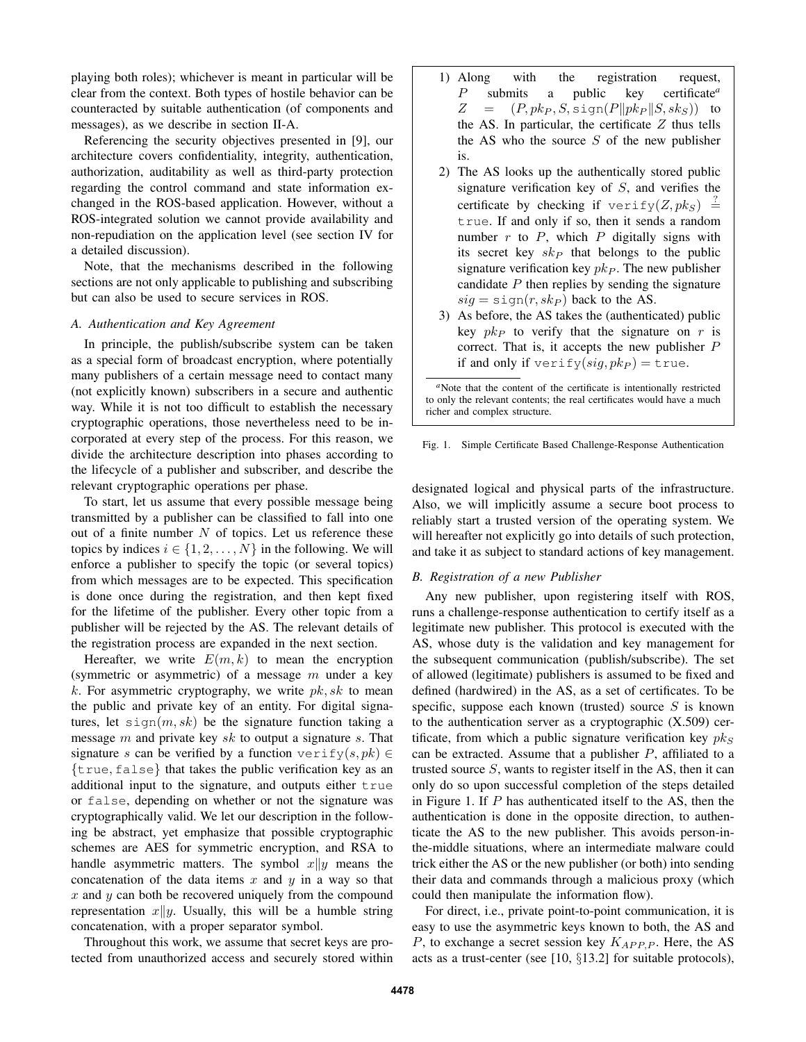playing both roles); whichever is meant in particular will be clear from the context. Both types of hostile behavior can be counteracted by suitable authentication (of components and messages), as we describe in section II-A.

Referencing the security objectives presented in [9], our architecture covers confidentiality, integrity, authentication, authorization, auditability as well as third-party protection regarding the control command and state information exchanged in the ROS-based application. However, without a ROS-integrated solution we cannot provide availability and non-repudiation on the application level (see section IV for a detailed discussion).

Note, that the mechanisms described in the following sections are not only applicable to publishing and subscribing but can also be used to secure services in ROS.

# *A. Authentication and Key Agreement*

In principle, the publish/subscribe system can be taken as a special form of broadcast encryption, where potentially many publishers of a certain message need to contact many (not explicitly known) subscribers in a secure and authentic way. While it is not too difficult to establish the necessary cryptographic operations, those nevertheless need to be incorporated at every step of the process. For this reason, we divide the architecture description into phases according to the lifecycle of a publisher and subscriber, and describe the relevant cryptographic operations per phase.

To start, let us assume that every possible message being transmitted by a publisher can be classified to fall into one out of a finite number  $N$  of topics. Let us reference these topics by indices  $i \in \{1, 2, \ldots, N\}$  in the following. We will enforce a publisher to specify the topic (or several topics) from which messages are to be expected. This specification is done once during the registration, and then kept fixed for the lifetime of the publisher. Every other topic from a publisher will be rejected by the AS. The relevant details of the registration process are expanded in the next section.

Hereafter, we write  $E(m, k)$  to mean the encryption (symmetric or asymmetric) of a message  $m$  under a key k. For asymmetric cryptography, we write  $pk, sk$  to mean the public and private key of an entity. For digital signatures, let  $sign(m, sk)$  be the signature function taking a message  $m$  and private key  $sk$  to output a signature  $s$ . That signature s can be verified by a function  $\text{verify}(s, pk) \in$ {true, false} that takes the public verification key as an additional input to the signature, and outputs either true or false, depending on whether or not the signature was cryptographically valid. We let our description in the following be abstract, yet emphasize that possible cryptographic schemes are AES for symmetric encryption, and RSA to handle asymmetric matters. The symbol  $x||y$  means the concatenation of the data items  $x$  and  $y$  in a way so that  $x$  and  $y$  can both be recovered uniquely from the compound representation  $x||y$ . Usually, this will be a humble string concatenation, with a proper separator symbol.

Throughout this work, we assume that secret keys are protected from unauthorized access and securely stored within

- 1) Along with the registration request, P submits a public key certificate*<sup>a</sup>*  $Z = (P, pk_P, S, sign(P || pk_P || S, sk_S))$  to the AS. In particular, the certificate  $Z$  thus tells the AS who the source  $S$  of the new publisher is.
- 2) The AS looks up the authentically stored public signature verification key of  $S$ , and verifies the certificate by checking if  $\mathrm{verify}(Z, pk_S) \stackrel{?}{=}$ true. If and only if so, then it sends a random number  $r$  to  $P$ , which  $P$  digitally signs with its secret key  $sk_P$  that belongs to the public signature verification key  $pk_P$ . The new publisher candidate  $P$  then replies by sending the signature  $sig = sign(r, sk_P)$  back to the AS.
- 3) As before, the AS takes the (authenticated) public key  $pk_P$  to verify that the signature on r is correct. That is, it accepts the new publisher P if and only if verify $(sig, pk_P) =$ true.

<sup>*a*</sup>Note that the content of the certificate is intentionally restricted to only the relevant contents; the real certificates would have a much richer and complex structure.

Fig. 1. Simple Certificate Based Challenge-Response Authentication

designated logical and physical parts of the infrastructure. Also, we will implicitly assume a secure boot process to reliably start a trusted version of the operating system. We will hereafter not explicitly go into details of such protection, and take it as subject to standard actions of key management.

## *B. Registration of a new Publisher*

Any new publisher, upon registering itself with ROS, runs a challenge-response authentication to certify itself as a legitimate new publisher. This protocol is executed with the AS, whose duty is the validation and key management for the subsequent communication (publish/subscribe). The set of allowed (legitimate) publishers is assumed to be fixed and defined (hardwired) in the AS, as a set of certificates. To be specific, suppose each known (trusted) source  $S$  is known to the authentication server as a cryptographic (X.509) certificate, from which a public signature verification key  $pk_S$ can be extracted. Assume that a publisher  $P$ , affiliated to a trusted source  $S$ , wants to register itself in the AS, then it can only do so upon successful completion of the steps detailed in Figure 1. If  $P$  has authenticated itself to the AS, then the authentication is done in the opposite direction, to authenticate the AS to the new publisher. This avoids person-inthe-middle situations, where an intermediate malware could trick either the AS or the new publisher (or both) into sending their data and commands through a malicious proxy (which could then manipulate the information flow).

For direct, i.e., private point-to-point communication, it is easy to use the asymmetric keys known to both, the AS and  $P$ , to exchange a secret session key  $K_{APP,P}$ . Here, the AS acts as a trust-center (see [10, §13.2] for suitable protocols),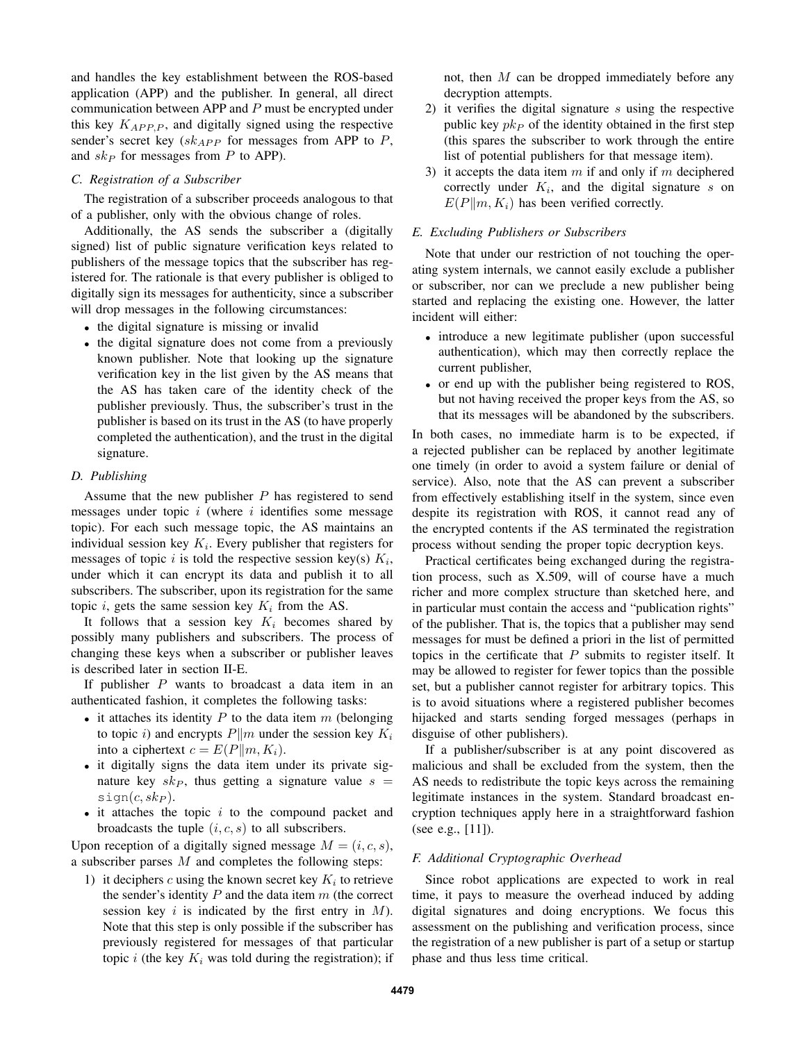and handles the key establishment between the ROS-based application (APP) and the publisher. In general, all direct communication between APP and  $P$  must be encrypted under this key  $K_{APP,P}$ , and digitally signed using the respective sender's secret key  $(sk_{APP}$  for messages from APP to  $P$ , and  $s k_P$  for messages from P to APP).

# *C. Registration of a Subscriber*

The registration of a subscriber proceeds analogous to that of a publisher, only with the obvious change of roles.

Additionally, the AS sends the subscriber a (digitally signed) list of public signature verification keys related to publishers of the message topics that the subscriber has registered for. The rationale is that every publisher is obliged to digitally sign its messages for authenticity, since a subscriber will drop messages in the following circumstances:

- the digital signature is missing or invalid
- the digital signature does not come from a previously known publisher. Note that looking up the signature verification key in the list given by the AS means that the AS has taken care of the identity check of the publisher previously. Thus, the subscriber's trust in the publisher is based on its trust in the AS (to have properly completed the authentication), and the trust in the digital signature.

# *D. Publishing*

Assume that the new publisher  $P$  has registered to send messages under topic  $i$  (where  $i$  identifies some message topic). For each such message topic, the AS maintains an individual session key  $K_i$ . Every publisher that registers for messages of topic i is told the respective session key(s)  $K_i$ , under which it can encrypt its data and publish it to all subscribers. The subscriber, upon its registration for the same topic i, gets the same session key  $K_i$  from the AS.

It follows that a session key  $K_i$  becomes shared by possibly many publishers and subscribers. The process of changing these keys when a subscriber or publisher leaves is described later in section II-E.

If publisher  $P$  wants to broadcast a data item in an authenticated fashion, it completes the following tasks:

- it attaches its identity  $P$  to the data item  $m$  (belonging to topic i) and encrypts  $P||m$  under the session key  $K_i$ into a ciphertext  $c = E(P||m, K_i)$ .
- it digitally signs the data item under its private signature key  $sk_P$ , thus getting a signature value  $s =$  $sign(c, sk_P)$ .
- it attaches the topic  $i$  to the compound packet and broadcasts the tuple  $(i, c, s)$  to all subscribers.

Upon reception of a digitally signed message  $M = (i, c, s)$ , a subscriber parses M and completes the following steps:

1) it deciphers c using the known secret key  $K_i$  to retrieve the sender's identity  $P$  and the data item  $m$  (the correct session key  $i$  is indicated by the first entry in  $M$ ). Note that this step is only possible if the subscriber has previously registered for messages of that particular topic i (the key  $K_i$  was told during the registration); if not, then  $M$  can be dropped immediately before any decryption attempts.

- 2) it verifies the digital signature  $s$  using the respective public key  $pk_P$  of the identity obtained in the first step (this spares the subscriber to work through the entire list of potential publishers for that message item).
- 3) it accepts the data item  $m$  if and only if  $m$  deciphered correctly under  $K_i$ , and the digital signature s on  $E(P||m, K_i)$  has been verified correctly.

## *E. Excluding Publishers or Subscribers*

Note that under our restriction of not touching the operating system internals, we cannot easily exclude a publisher or subscriber, nor can we preclude a new publisher being started and replacing the existing one. However, the latter incident will either:

- introduce a new legitimate publisher (upon successful authentication), which may then correctly replace the current publisher,
- or end up with the publisher being registered to ROS, but not having received the proper keys from the AS, so that its messages will be abandoned by the subscribers.

In both cases, no immediate harm is to be expected, if a rejected publisher can be replaced by another legitimate one timely (in order to avoid a system failure or denial of service). Also, note that the AS can prevent a subscriber from effectively establishing itself in the system, since even despite its registration with ROS, it cannot read any of the encrypted contents if the AS terminated the registration process without sending the proper topic decryption keys.

Practical certificates being exchanged during the registration process, such as X.509, will of course have a much richer and more complex structure than sketched here, and in particular must contain the access and "publication rights" of the publisher. That is, the topics that a publisher may send messages for must be defined a priori in the list of permitted topics in the certificate that  $P$  submits to register itself. It may be allowed to register for fewer topics than the possible set, but a publisher cannot register for arbitrary topics. This is to avoid situations where a registered publisher becomes hijacked and starts sending forged messages (perhaps in disguise of other publishers).

If a publisher/subscriber is at any point discovered as malicious and shall be excluded from the system, then the AS needs to redistribute the topic keys across the remaining legitimate instances in the system. Standard broadcast encryption techniques apply here in a straightforward fashion (see e.g., [11]).

## *F. Additional Cryptographic Overhead*

Since robot applications are expected to work in real time, it pays to measure the overhead induced by adding digital signatures and doing encryptions. We focus this assessment on the publishing and verification process, since the registration of a new publisher is part of a setup or startup phase and thus less time critical.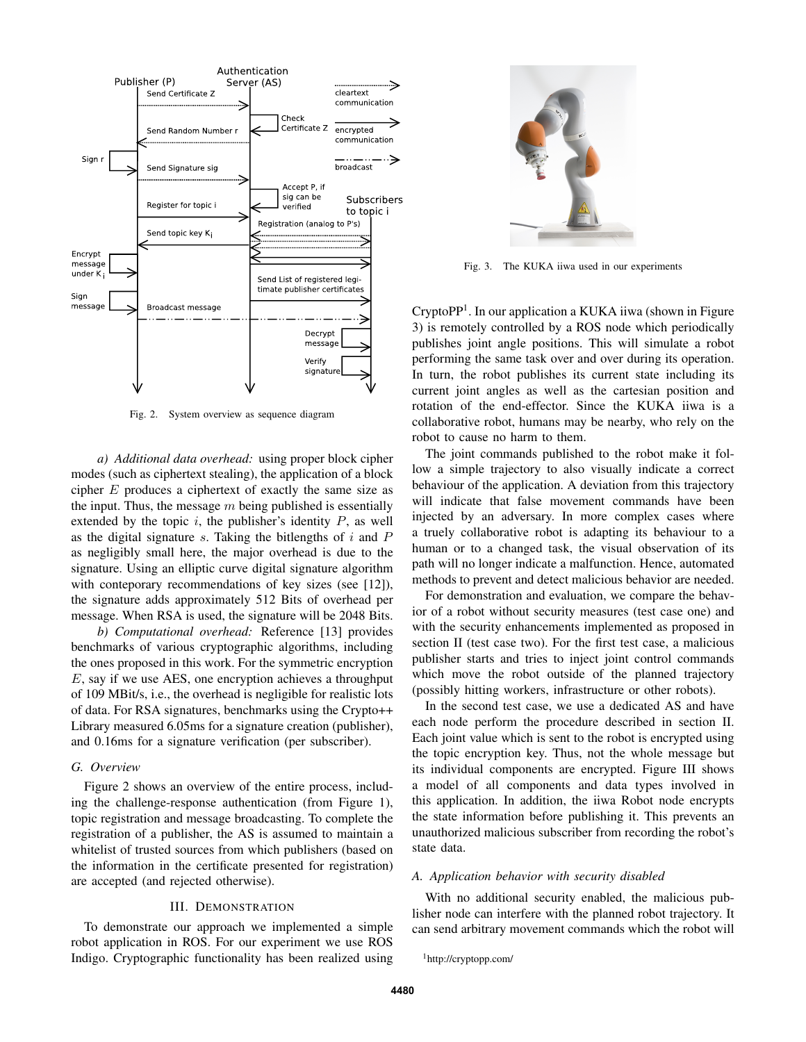

Fig. 2. System overview as sequence diagram

*a) Additional data overhead:* using proper block cipher modes (such as ciphertext stealing), the application of a block cipher  $E$  produces a ciphertext of exactly the same size as the input. Thus, the message  $m$  being published is essentially extended by the topic  $i$ , the publisher's identity  $P$ , as well as the digital signature  $s$ . Taking the bitlengths of  $i$  and  $P$ as negligibly small here, the major overhead is due to the signature. Using an elliptic curve digital signature algorithm with conteporary recommendations of key sizes (see [12]), the signature adds approximately 512 Bits of overhead per message. When RSA is used, the signature will be 2048 Bits.

*b) Computational overhead:* Reference [13] provides benchmarks of various cryptographic algorithms, including the ones proposed in this work. For the symmetric encryption E, say if we use AES, one encryption achieves a throughput of 109 MBit/s, i.e., the overhead is negligible for realistic lots of data. For RSA signatures, benchmarks using the Crypto++ Library measured 6.05ms for a signature creation (publisher), and 0.16ms for a signature verification (per subscriber).

## *G. Overview*

Figure 2 shows an overview of the entire process, including the challenge-response authentication (from Figure 1), topic registration and message broadcasting. To complete the registration of a publisher, the AS is assumed to maintain a whitelist of trusted sources from which publishers (based on the information in the certificate presented for registration) are accepted (and rejected otherwise).

#### III. DEMONSTRATION

To demonstrate our approach we implemented a simple robot application in ROS. For our experiment we use ROS Indigo. Cryptographic functionality has been realized using



Fig. 3. The KUKA iiwa used in our experiments

CryptoPP<sup>1</sup>. In our application a KUKA iiwa (shown in Figure 3) is remotely controlled by a ROS node which periodically publishes joint angle positions. This will simulate a robot performing the same task over and over during its operation. In turn, the robot publishes its current state including its current joint angles as well as the cartesian position and rotation of the end-effector. Since the KUKA iiwa is a collaborative robot, humans may be nearby, who rely on the robot to cause no harm to them.

The joint commands published to the robot make it follow a simple trajectory to also visually indicate a correct behaviour of the application. A deviation from this trajectory will indicate that false movement commands have been injected by an adversary. In more complex cases where a truely collaborative robot is adapting its behaviour to a human or to a changed task, the visual observation of its path will no longer indicate a malfunction. Hence, automated methods to prevent and detect malicious behavior are needed.

For demonstration and evaluation, we compare the behavior of a robot without security measures (test case one) and with the security enhancements implemented as proposed in section II (test case two). For the first test case, a malicious publisher starts and tries to inject joint control commands which move the robot outside of the planned trajectory (possibly hitting workers, infrastructure or other robots).

In the second test case, we use a dedicated AS and have each node perform the procedure described in section II. Each joint value which is sent to the robot is encrypted using the topic encryption key. Thus, not the whole message but its individual components are encrypted. Figure III shows a model of all components and data types involved in this application. In addition, the iiwa Robot node encrypts the state information before publishing it. This prevents an unauthorized malicious subscriber from recording the robot's state data.

## *A. Application behavior with security disabled*

With no additional security enabled, the malicious publisher node can interfere with the planned robot trajectory. It can send arbitrary movement commands which the robot will

```
1http://cryptopp.com/
```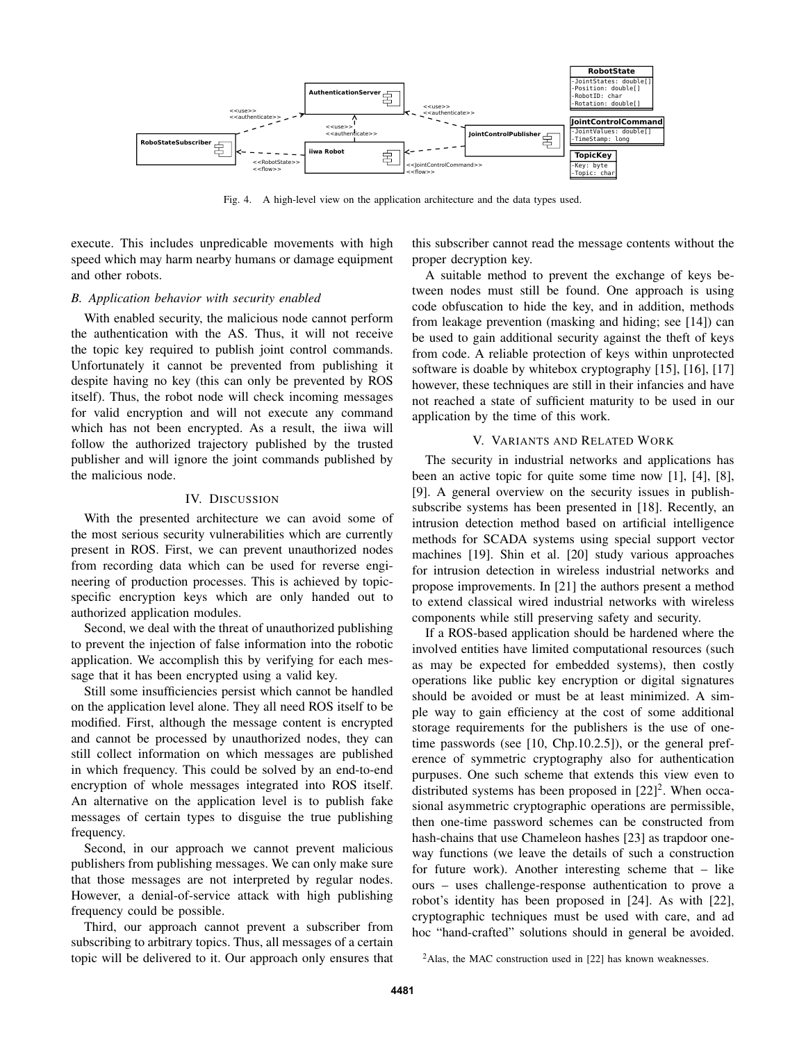

Fig. 4. A high-level view on the application architecture and the data types used.

execute. This includes unpredicable movements with high speed which may harm nearby humans or damage equipment and other robots.

# *B. Application behavior with security enabled*

With enabled security, the malicious node cannot perform the authentication with the AS. Thus, it will not receive the topic key required to publish joint control commands. Unfortunately it cannot be prevented from publishing it despite having no key (this can only be prevented by ROS itself). Thus, the robot node will check incoming messages for valid encryption and will not execute any command which has not been encrypted. As a result, the iiwa will follow the authorized trajectory published by the trusted publisher and will ignore the joint commands published by the malicious node.

# IV. DISCUSSION

With the presented architecture we can avoid some of the most serious security vulnerabilities which are currently present in ROS. First, we can prevent unauthorized nodes from recording data which can be used for reverse engineering of production processes. This is achieved by topicspecific encryption keys which are only handed out to authorized application modules.

Second, we deal with the threat of unauthorized publishing to prevent the injection of false information into the robotic application. We accomplish this by verifying for each message that it has been encrypted using a valid key.

Still some insufficiencies persist which cannot be handled on the application level alone. They all need ROS itself to be modified. First, although the message content is encrypted and cannot be processed by unauthorized nodes, they can still collect information on which messages are published in which frequency. This could be solved by an end-to-end encryption of whole messages integrated into ROS itself. An alternative on the application level is to publish fake messages of certain types to disguise the true publishing frequency.

Second, in our approach we cannot prevent malicious publishers from publishing messages. We can only make sure that those messages are not interpreted by regular nodes. However, a denial-of-service attack with high publishing frequency could be possible.

Third, our approach cannot prevent a subscriber from subscribing to arbitrary topics. Thus, all messages of a certain topic will be delivered to it. Our approach only ensures that this subscriber cannot read the message contents without the proper decryption key.

A suitable method to prevent the exchange of keys between nodes must still be found. One approach is using code obfuscation to hide the key, and in addition, methods from leakage prevention (masking and hiding; see [14]) can be used to gain additional security against the theft of keys from code. A reliable protection of keys within unprotected software is doable by whitebox cryptography [15], [16], [17] however, these techniques are still in their infancies and have not reached a state of sufficient maturity to be used in our application by the time of this work.

# V. VARIANTS AND RELATED WORK

The security in industrial networks and applications has been an active topic for quite some time now [1], [4], [8], [9]. A general overview on the security issues in publishsubscribe systems has been presented in [18]. Recently, an intrusion detection method based on artificial intelligence methods for SCADA systems using special support vector machines [19]. Shin et al. [20] study various approaches for intrusion detection in wireless industrial networks and propose improvements. In [21] the authors present a method to extend classical wired industrial networks with wireless components while still preserving safety and security.

If a ROS-based application should be hardened where the involved entities have limited computational resources (such as may be expected for embedded systems), then costly operations like public key encryption or digital signatures should be avoided or must be at least minimized. A simple way to gain efficiency at the cost of some additional storage requirements for the publishers is the use of onetime passwords (see [10, Chp.10.2.5]), or the general preference of symmetric cryptography also for authentication purpuses. One such scheme that extends this view even to distributed systems has been proposed in  $[22]^2$ . When occasional asymmetric cryptographic operations are permissible, then one-time password schemes can be constructed from hash-chains that use Chameleon hashes [23] as trapdoor oneway functions (we leave the details of such a construction for future work). Another interesting scheme that – like ours – uses challenge-response authentication to prove a robot's identity has been proposed in [24]. As with [22], cryptographic techniques must be used with care, and ad hoc "hand-crafted" solutions should in general be avoided.

 $2$ Alas, the MAC construction used in [22] has known weaknesses.